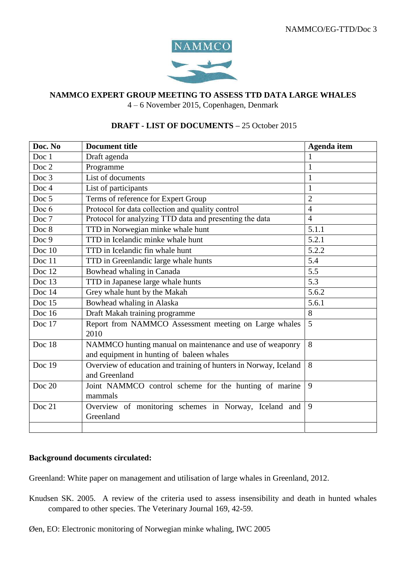

## **NAMMCO EXPERT GROUP MEETING TO ASSESS TTD DATA LARGE WHALES**

4 – 6 November 2015, Copenhagen, Denmark

## **DRAFT - LIST OF DOCUMENTS –** 25 October 2015

| Doc. No  | <b>Document title</b>                                            | <b>Agenda</b> item |
|----------|------------------------------------------------------------------|--------------------|
| Doc 1    | Draft agenda                                                     | 1                  |
| Doc 2    | Programme                                                        | $\mathbf{1}$       |
| Doc 3    | List of documents                                                | $\mathbf{1}$       |
| Doc 4    | List of participants                                             | $\mathbf{1}$       |
| Doc 5    | Terms of reference for Expert Group                              | $\overline{2}$     |
| Doc 6    | Protocol for data collection and quality control                 | $\overline{4}$     |
| Doc 7    | Protocol for analyzing TTD data and presenting the data          | $\overline{4}$     |
| Doc 8    | TTD in Norwegian minke whale hunt                                | 5.1.1              |
| Doc 9    | TTD in Icelandic minke whale hunt                                | 5.2.1              |
| Doc $10$ | TTD in Icelandic fin whale hunt                                  | 5.2.2              |
| Doc 11   | TTD in Greenlandic large whale hunts                             | 5.4                |
| Doc 12   | Bowhead whaling in Canada                                        | 5.5                |
| Doc 13   | TTD in Japanese large whale hunts                                | 5.3                |
| Doc 14   | Grey whale hunt by the Makah                                     | 5.6.2              |
| Doc 15   | Bowhead whaling in Alaska                                        | 5.6.1              |
| Doc 16   | Draft Makah training programme                                   | 8                  |
| Doc 17   | Report from NAMMCO Assessment meeting on Large whales<br>2010    | $\overline{5}$     |
| Doc 18   | NAMMCO hunting manual on maintenance and use of weaponry         | 8                  |
|          | and equipment in hunting of baleen whales                        |                    |
| Doc 19   | Overview of education and training of hunters in Norway, Iceland | 8                  |
|          | and Greenland                                                    |                    |
| Doc 20   | Joint NAMMCO control scheme for the hunting of marine<br>mammals | 9                  |
| Doc 21   | Overview of monitoring schemes in Norway, Iceland and            | 9                  |
|          | Greenland                                                        |                    |
|          |                                                                  |                    |

## **Background documents circulated:**

Greenland: White paper on management and utilisation of large whales in Greenland, 2012.

- Knudsen SK. 2005. A review of the criteria used to assess insensibility and death in hunted whales compared to other species. The Veterinary Journal 169, 42-59.
- Øen, EO: Electronic monitoring of Norwegian minke whaling, IWC 2005